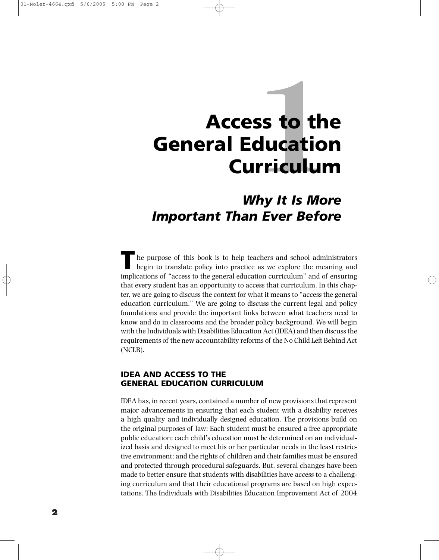# **1Access to the General Education Curriculum**

# *Why It Is More Important Than Ever Before*

**T** he purpose of this book is to help teachers and school administrators begin to translate policy into practice as we explore the meaning and implications of "access to the general education curriculum" and of ensuring that every student has an opportunity to access that curriculum. In this chapter, we are going to discuss the context for what it means to "access the general education curriculum." We are going to discuss the current legal and policy foundations and provide the important links between what teachers need to know and do in classrooms and the broader policy background. We will begin with the Individuals with Disabilities Education Act (IDEA) and then discuss the requirements of the new accountability reforms of the No Child Left Behind Act (NCLB).

# **IDEA AND ACCESS TO THE GENERAL EDUCATION CURRICULUM**

IDEA has, in recent years, contained a number of new provisions that represent major advancements in ensuring that each student with a disability receives a high quality and individually designed education. The provisions build on the original purposes of law: Each student must be ensured a free appropriate public education; each child's education must be determined on an individualized basis and designed to meet his or her particular needs in the least restrictive environment; and the rights of children and their families must be ensured and protected through procedural safeguards. But, several changes have been made to better ensure that students with disabilities have access to a challenging curriculum and that their educational programs are based on high expectations. The Individuals with Disabilities Education Improvement Act of 2004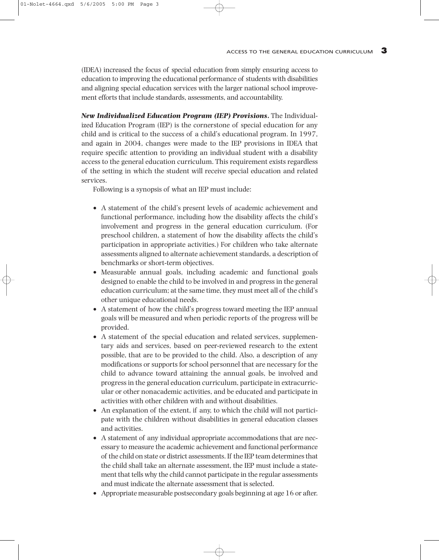(IDEA) increased the focus of special education from simply ensuring access to education to improving the educational performance of students with disabilities and aligning special education services with the larger national school improvement efforts that include standards, assessments, and accountability.

*New Individualized Education Program (IEP) Provisions***.** The Individualized Education Program (IEP) is the cornerstone of special education for any child and is critical to the success of a child's educational program. In 1997, and again in 2004, changes were made to the IEP provisions in IDEA that require specific attention to providing an individual student with a disability access to the general education curriculum. This requirement exists regardless of the setting in which the student will receive special education and related services.

Following is a synopsis of what an IEP must include:

- A statement of the child's present levels of academic achievement and functional performance, including how the disability affects the child's involvement and progress in the general education curriculum. (For preschool children, a statement of how the disability affects the child's participation in appropriate activities.) For children who take alternate assessments aligned to alternate achievement standards, a description of benchmarks or short-term objectives.
- Measurable annual goals, including academic and functional goals designed to enable the child to be involved in and progress in the general education curriculum; at the same time, they must meet all of the child's other unique educational needs.
- A statement of how the child's progress toward meeting the IEP annual goals will be measured and when periodic reports of the progress will be provided.
- A statement of the special education and related services, supplementary aids and services, based on peer-reviewed research to the extent possible, that are to be provided to the child. Also, a description of any modifications or supports for school personnel that are necessary for the child to advance toward attaining the annual goals, be involved and progress in the general education curriculum, participate in extracurricular or other nonacademic activities, and be educated and participate in activities with other children with and without disabilities.
- An explanation of the extent, if any, to which the child will not participate with the children without disabilities in general education classes and activities.
- A statement of any individual appropriate accommodations that are necessary to measure the academic achievement and functional performance of the child on state or district assessments. If the IEP team determines that the child shall take an alternate assessment, the IEP must include a statement that tells why the child cannot participate in the regular assessments and must indicate the alternate assessment that is selected.
- Appropriate measurable postsecondary goals beginning at age 16 or after.

01-Nolet-4664.qxd 5/6/2005 5:00 PM Page 3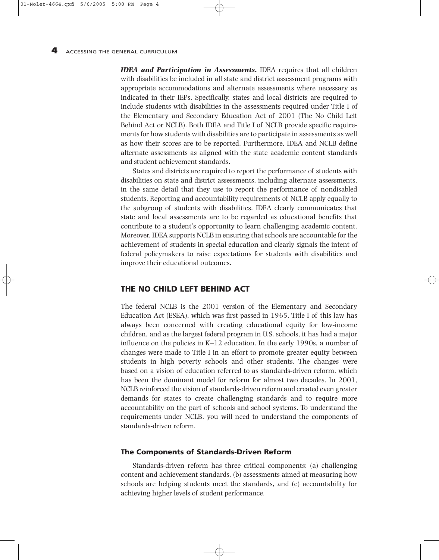*IDEA and Participation in Assessments.* IDEA requires that all children with disabilities be included in all state and district assessment programs with appropriate accommodations and alternate assessments where necessary as indicated in their IEPs. Specifically, states and local districts are required to include students with disabilities in the assessments required under Title I of the Elementary and Secondary Education Act of 2001 (The No Child Left Behind Act or NCLB). Both IDEA and Title I of NCLB provide specific requirements for how students with disabilities are to participate in assessments as well as how their scores are to be reported. Furthermore, IDEA and NCLB define alternate assessments as aligned with the state academic content standards and student achievement standards.

States and districts are required to report the performance of students with disabilities on state and district assessments, including alternate assessments, in the same detail that they use to report the performance of nondisabled students. Reporting and accountability requirements of NCLB apply equally to the subgroup of students with disabilities. IDEA clearly communicates that state and local assessments are to be regarded as educational benefits that contribute to a student's opportunity to learn challenging academic content. Moreover, IDEA supports NCLB in ensuring that schools are accountable for the achievement of students in special education and clearly signals the intent of federal policymakers to raise expectations for students with disabilities and improve their educational outcomes.

#### **THE NO CHILD LEFT BEHIND ACT**

The federal NCLB is the 2001 version of the Elementary and Secondary Education Act (ESEA), which was first passed in 1965. Title I of this law has always been concerned with creating educational equity for low-income children, and as the largest federal program in U.S. schools, it has had a major influence on the policies in K–12 education. In the early 1990s, a number of changes were made to Title I in an effort to promote greater equity between students in high poverty schools and other students. The changes were based on a vision of education referred to as standards-driven reform, which has been the dominant model for reform for almost two decades. In 2001, NCLB reinforced the vision of standards-driven reform and created even greater demands for states to create challenging standards and to require more accountability on the part of schools and school systems. To understand the requirements under NCLB, you will need to understand the components of standards-driven reform.

#### **The Components of Standards-Driven Reform**

Standards-driven reform has three critical components: (a) challenging content and achievement standards, (b) assessments aimed at measuring how schools are helping students meet the standards, and (c) accountability for achieving higher levels of student performance.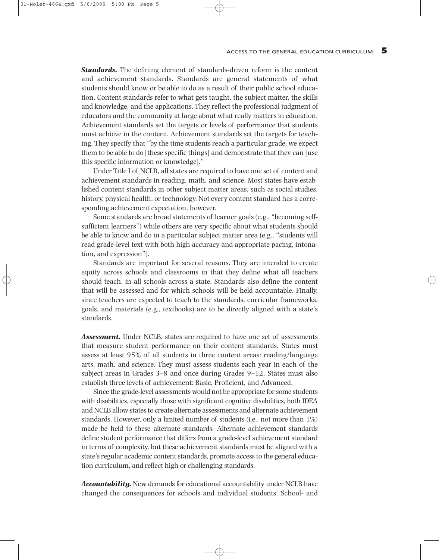*Standards.* The defining element of standards-driven reform is the content and achievement standards. Standards are general statements of what students should know or be able to do as a result of their public school education. Content standards refer to what gets taught, the subject matter, the skills and knowledge, and the applications. They reflect the professional judgment of educators and the community at large about what really matters in education. Achievement standards set the targets or levels of performance that students must achieve in the content. Achievement standards set the targets for teaching. They specify that "by the time students reach a particular grade, we expect them to be able to do [these specific things] and demonstrate that they can [use this specific information or knowledge]."

Under Title I of NCLB, all states are required to have one set of content and achievement standards in reading, math, and science. Most states have established content standards in other subject matter areas, such as social studies, history, physical health, or technology. Not every content standard has a corresponding achievement expectation, however.

Some standards are broad statements of learner goals (e.g., "becoming selfsufficient learners") while others are very specific about what students should be able to know and do in a particular subject matter area (e.g., "students will read grade-level text with both high accuracy and appropriate pacing, intonation, and expression").

Standards are important for several reasons. They are intended to create equity across schools and classrooms in that they define what all teachers should teach, in all schools across a state. Standards also define the content that will be assessed and for which schools will be held accountable. Finally, since teachers are expected to teach to the standards, curricular frameworks, goals, and materials (e.g., textbooks) are to be directly aligned with a state's standards.

*Assessment.* Under NCLB, states are required to have one set of assessments that measure student performance on their content standards. States must assess at least 95% of all students in three content areas: reading/language arts, math, and science. They must assess students each year in each of the subject areas in Grades 3–8 and once during Grades 9–12. States must also establish three levels of achievement: Basic, Proficient, and Advanced.

Since the grade-level assessments would not be appropriate for some students with disabilities, especially those with significant cognitive disabilities, both IDEA and NCLB allow states to create alternate assessments and alternate achievement standards. However, only a limited number of students (i.e., not more than 1%) made be held to these alternate standards. Alternate achievement standards define student performance that differs from a grade-level achievement standard in terms of complexity, but these achievement standards must be aligned with a state's regular academic content standards, promote access to the general education curriculum, and reflect high or challenging standards.

*Accountability.* New demands for educational accountability under NCLB have changed the consequences for schools and individual students. School- and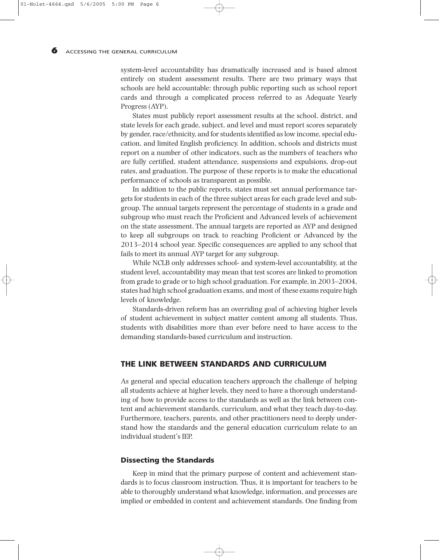system-level accountability has dramatically increased and is based almost entirely on student assessment results. There are two primary ways that schools are held accountable: through public reporting such as school report cards and through a complicated process referred to as Adequate Yearly Progress (AYP).

States must publicly report assessment results at the school, district, and state levels for each grade, subject, and level and must report scores separately by gender, race/ethnicity, and for students identified as low income, special education, and limited English proficiency. In addition, schools and districts must report on a number of other indicators, such as the numbers of teachers who are fully certified, student attendance, suspensions and expulsions, drop-out rates, and graduation. The purpose of these reports is to make the educational performance of schools as transparent as possible.

In addition to the public reports, states must set annual performance targets for students in each of the three subject areas for each grade level and subgroup. The annual targets represent the percentage of students in a grade and subgroup who must reach the Proficient and Advanced levels of achievement on the state assessment. The annual targets are reported as AYP and designed to keep all subgroups on track to reaching Proficient or Advanced by the 2013–2014 school year. Specific consequences are applied to any school that fails to meet its annual AYP target for any subgroup.

While NCLB only addresses school- and system-level accountability, at the student level, accountability may mean that test scores are linked to promotion from grade to grade or to high school graduation. For example, in 2003–2004, states had high school graduation exams, and most of these exams require high levels of knowledge.

Standards-driven reform has an overriding goal of achieving higher levels of student achievement in subject matter content among all students. Thus, students with disabilities more than ever before need to have access to the demanding standards-based curriculum and instruction.

# **THE LINK BETWEEN STANDARDS AND CURRICULUM**

As general and special education teachers approach the challenge of helping all students achieve at higher levels, they need to have a thorough understanding of how to provide access to the standards as well as the link between content and achievement standards, curriculum, and what they teach day-to-day. Furthermore, teachers, parents, and other practitioners need to deeply understand how the standards and the general education curriculum relate to an individual student's IEP.

#### **Dissecting the Standards**

Keep in mind that the primary purpose of content and achievement standards is to focus classroom instruction. Thus, it is important for teachers to be able to thoroughly understand what knowledge, information, and processes are implied or embedded in content and achievement standards. One finding from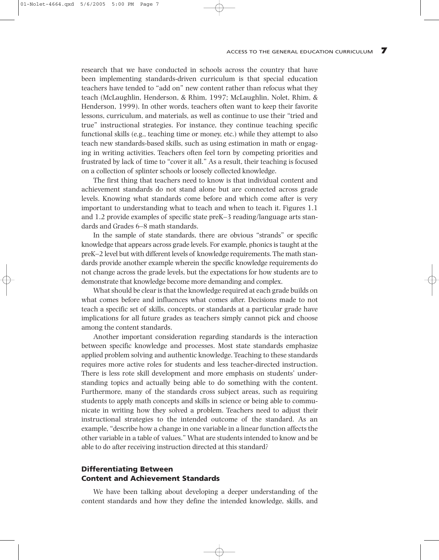research that we have conducted in schools across the country that have been implementing standards-driven curriculum is that special education teachers have tended to "add on" new content rather than refocus what they teach (McLaughlin, Henderson, & Rhim, 1997; McLaughlin, Nolet, Rhim, & Henderson, 1999). In other words, teachers often want to keep their favorite lessons, curriculum, and materials, as well as continue to use their "tried and true" instructional strategies. For instance, they continue teaching specific functional skills (e.g., teaching time or money, etc.) while they attempt to also teach new standards-based skills, such as using estimation in math or engaging in writing activities. Teachers often feel torn by competing priorities and frustrated by lack of time to "cover it all." As a result, their teaching is focused on a collection of splinter schools or loosely collected knowledge.

The first thing that teachers need to know is that individual content and achievement standards do not stand alone but are connected across grade levels. Knowing what standards come before and which come after is very important to understanding what to teach and when to teach it. Figures 1.1 and 1.2 provide examples of specific state preK–3 reading/language arts standards and Grades 6–8 math standards.

In the sample of state standards, there are obvious "strands" or specific knowledge that appears across grade levels. For example, phonics is taught at the preK–2 level but with different levels of knowledge requirements. The math standards provide another example wherein the specific knowledge requirements do not change across the grade levels, but the expectations for how students are to demonstrate that knowledge become more demanding and complex.

What should be clear is that the knowledge required at each grade builds on what comes before and influences what comes after. Decisions made to not teach a specific set of skills, concepts, or standards at a particular grade have implications for all future grades as teachers simply cannot pick and choose among the content standards.

Another important consideration regarding standards is the interaction between specific knowledge and processes. Most state standards emphasize applied problem solving and authentic knowledge. Teaching to these standards requires more active roles for students and less teacher-directed instruction. There is less rote skill development and more emphasis on students' understanding topics and actually being able to do something with the content. Furthermore, many of the standards cross subject areas, such as requiring students to apply math concepts and skills in science or being able to communicate in writing how they solved a problem. Teachers need to adjust their instructional strategies to the intended outcome of the standard. As an example, "describe how a change in one variable in a linear function affects the other variable in a table of values." What are students intended to know and be able to do after receiving instruction directed at this standard?

# **Differentiating Between Content and Achievement Standards**

We have been talking about developing a deeper understanding of the content standards and how they define the intended knowledge, skills, and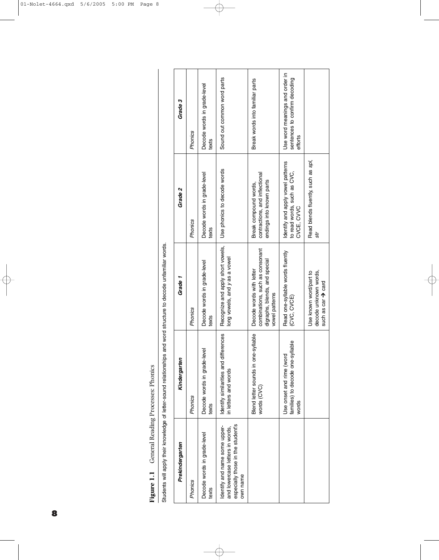| Phomes on<br>  ייתר הפפרו ביי<br>keading<br>ׅ֧֧֧֧֧֧֧֧֧֪ׅ֧֧֧֪ׅ֧֪֧֚֚֚֚֚֚֚֚֚֚֚֚֚֚֚֚֚֚֚֚֬֡֡֡֡֓֡֡֡֡֬֓֡֬֓֓֡֓֡֬֓֓֓֡֬֓֓֓֓֡֬֓֓֞֬֝֬֝֬֓֝֬ |
|--------------------------------------------------------------------------------------------------------------------------------|
| Š<br>ţ                                                                                                                         |
|                                                                                                                                |

| ֘֝֬                       |
|---------------------------|
|                           |
| $\vdots$                  |
|                           |
|                           |
| ${1 \over 2}$             |
|                           |
|                           |
|                           |
|                           |
|                           |
|                           |
|                           |
|                           |
|                           |
|                           |
| :<br>S<br>S               |
|                           |
|                           |
|                           |
| $\frac{5}{2}$<br>ï        |
|                           |
|                           |
|                           |
|                           |
|                           |
|                           |
|                           |
| ī                         |
|                           |
| Ś<br>ï                    |
|                           |
| j                         |
| $\ddot{\phantom{a}}$<br>١ |
|                           |
| Stude<br>5                |
|                           |

| Prekindergarten                                                                                                   | Kindergarter                                                          | Grade 1                                                                                                        | Grade 2                                                                             | Grade 3                                                                    |
|-------------------------------------------------------------------------------------------------------------------|-----------------------------------------------------------------------|----------------------------------------------------------------------------------------------------------------|-------------------------------------------------------------------------------------|----------------------------------------------------------------------------|
| Phonics                                                                                                           | Phonics                                                               | Phonics                                                                                                        | Phonics                                                                             | Phonics                                                                    |
| Decode words in grade-level<br>texts                                                                              | Decode words in grade-level<br>texts                                  | Decode words in grade-level<br>texts                                                                           | Decode words in grade-level<br>texts                                                | Decode words in grade-level<br>texts                                       |
| especially those in the student's<br>Identify and name some upper-<br>and lowercase letters in words,<br>own name | differences<br>Identify similarities and<br>in letters and words      | Recognize and apply short vowels,<br>long vowels, and y as a vowel                                             | Use phonics to decode words                                                         | Sound out common word parts                                                |
|                                                                                                                   | Blend letter sounds in one-syllable<br>words (CVC)                    | combinations, such as consonant<br>digraphs, blends, and special<br>Decode words with letter<br>vowel patterns | contractions, and inflectional<br>endings into known parts<br>Break compound words, | Break words into familiar parts                                            |
|                                                                                                                   | families) to decode one-syllable<br>Use onset and rime (word<br>words | Read one-syllable words fluently<br>(CVC, CVCE)                                                                | Identify and apply vowel patterns<br>to read words, such as CVC,<br>CVCE, CVVC      | Use word meanings and order in<br>sentences to confirm decoding<br>efforts |
|                                                                                                                   |                                                                       | decode unknown words,<br>Use known word/part to<br>such as car $\rightarrow$ card                              | Read blends fluently, such as spl,<br>str                                           |                                                                            |

€

 $\oplus$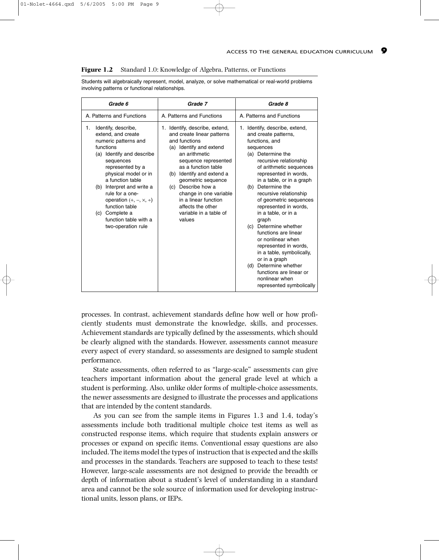Students will algebraically represent, model, analyze, or solve mathematical or real-world problems involving patterns or functional relationships.

| Grade 6                                                                                                                                                                                                                                                                                                                                                                  | Grade 7                                                                                                                                                                                                                                                                                                                                                      | Grade 8                                                                                                                                                                                                                                                                                                                                                                                                                                                                                                                                                                                                         |
|--------------------------------------------------------------------------------------------------------------------------------------------------------------------------------------------------------------------------------------------------------------------------------------------------------------------------------------------------------------------------|--------------------------------------------------------------------------------------------------------------------------------------------------------------------------------------------------------------------------------------------------------------------------------------------------------------------------------------------------------------|-----------------------------------------------------------------------------------------------------------------------------------------------------------------------------------------------------------------------------------------------------------------------------------------------------------------------------------------------------------------------------------------------------------------------------------------------------------------------------------------------------------------------------------------------------------------------------------------------------------------|
| A. Patterns and Functions                                                                                                                                                                                                                                                                                                                                                | A. Patterns and Functions                                                                                                                                                                                                                                                                                                                                    | A. Patterns and Functions                                                                                                                                                                                                                                                                                                                                                                                                                                                                                                                                                                                       |
| Identify, describe,<br>1.<br>extend, and create<br>numeric patterns and<br>functions<br>(a) Identify and describe<br>sequences<br>represented by a<br>physical model or in<br>a function table<br>Interpret and write a<br>(b)<br>rule for a one-<br>operation $(+, -, \times, +)$<br>function table<br>Complete a<br>(c)<br>function table with a<br>two-operation rule | 1. Identify, describe, extend,<br>and create linear patterns<br>and functions<br>(a) Identify and extend<br>an arithmetic<br>sequence represented<br>as a function table<br>(b) Identify and extend a<br>geometric sequence<br>(c) Describe how a<br>change in one variable<br>in a linear function<br>affects the other<br>variable in a table of<br>values | Identify, describe, extend,<br>1.<br>and create patterns,<br>functions, and<br>sequences<br>(a) Determine the<br>recursive relationship<br>of arithmetic sequences<br>represented in words,<br>in a table, or in a graph<br>Determine the<br>(b)<br>recursive relationship<br>of geometric sequences<br>represented in words,<br>in a table, or in a<br>graph<br>(c) Determine whether<br>functions are linear<br>or nonlinear when<br>represented in words,<br>in a table, symbolically,<br>or in a graph<br>Determine whether<br>(d)<br>functions are linear or<br>nonlinear when<br>represented symbolically |

processes. In contrast, achievement standards define how well or how proficiently students must demonstrate the knowledge, skills, and processes. Achievement standards are typically defined by the assessments, which should be clearly aligned with the standards. However, assessments cannot measure every aspect of every standard, so assessments are designed to sample student performance.

State assessments, often referred to as "large-scale" assessments can give teachers important information about the general grade level at which a student is performing. Also, unlike older forms of multiple-choice assessments, the newer assessments are designed to illustrate the processes and applications that are intended by the content standards.

As you can see from the sample items in Figures 1.3 and 1.4, today's assessments include both traditional multiple choice test items as well as constructed response items, which require that students explain answers or processes or expand on specific items. Conventional essay questions are also included. The items model the types of instruction that is expected and the skills and processes in the standards. Teachers are supposed to teach to these tests! However, large-scale assessments are not designed to provide the breadth or depth of information about a student's level of understanding in a standard area and cannot be the sole source of information used for developing instructional units, lesson plans, or IEPs.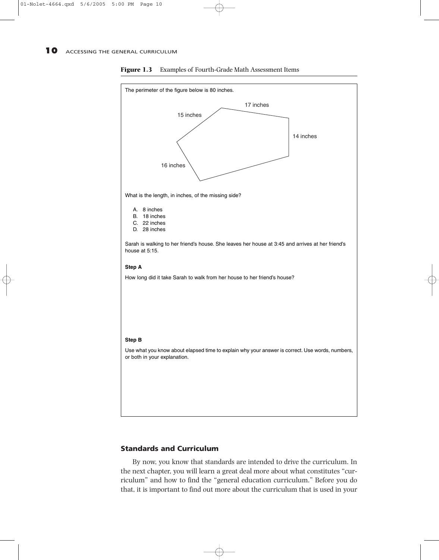

**Figure 1.3** Examples of Fourth-Grade Math Assessment Items

## **Standards and Curriculum**

By now, you know that standards are intended to drive the curriculum. In the next chapter, you will learn a great deal more about what constitutes "curriculum" and how to find the "general education curriculum." Before you do that, it is important to find out more about the curriculum that is used in your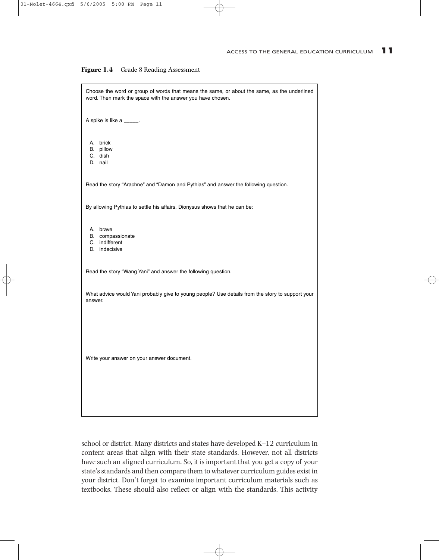

| Choose the word or group of words that means the same, or about the same, as the underlined<br>word. Then mark the space with the answer you have chosen. |
|-----------------------------------------------------------------------------------------------------------------------------------------------------------|
| A spike is like a _____.                                                                                                                                  |
| A. brick<br>B. pillow<br>C. dish<br>D. nail                                                                                                               |
| Read the story "Arachne" and "Damon and Pythias" and answer the following question.                                                                       |
| By allowing Pythias to settle his affairs, Dionysus shows that he can be:                                                                                 |
| A. brave<br>B. compassionate<br>C. indifferent<br>D. indecisive                                                                                           |
| Read the story "Wang Yani" and answer the following question.                                                                                             |
| What advice would Yani probably give to young people? Use details from the story to support your<br>answer.                                               |
| Write your answer on your answer document.                                                                                                                |
|                                                                                                                                                           |

school or district. Many districts and states have developed K–12 curriculum in content areas that align with their state standards. However, not all districts have such an aligned curriculum. So, it is important that you get a copy of your state's standards and then compare them to whatever curriculum guides exist in your district. Don't forget to examine important curriculum materials such as textbooks. These should also reflect or align with the standards. This activity

⊕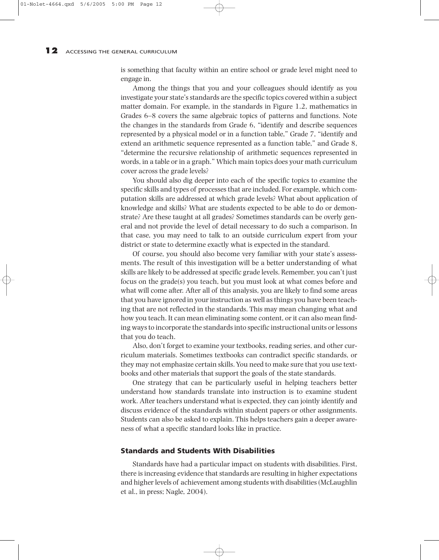is something that faculty within an entire school or grade level might need to engage in.

Among the things that you and your colleagues should identify as you investigate your state's standards are the specific topics covered within a subject matter domain. For example, in the standards in Figure 1.2, mathematics in Grades 6–8 covers the same algebraic topics of patterns and functions. Note the changes in the standards from Grade 6, "identify and describe sequences represented by a physical model or in a function table," Grade 7, "identify and extend an arithmetic sequence represented as a function table," and Grade 8, "determine the recursive relationship of arithmetic sequences represented in words, in a table or in a graph." Which main topics does your math curriculum cover across the grade levels?

You should also dig deeper into each of the specific topics to examine the specific skills and types of processes that are included. For example, which computation skills are addressed at which grade levels? What about application of knowledge and skills? What are students expected to be able to do or demonstrate? Are these taught at all grades? Sometimes standards can be overly general and not provide the level of detail necessary to do such a comparison. In that case, you may need to talk to an outside curriculum expert from your district or state to determine exactly what is expected in the standard.

Of course, you should also become very familiar with your state's assessments. The result of this investigation will be a better understanding of what skills are likely to be addressed at specific grade levels. Remember, you can't just focus on the grade(s) you teach, but you must look at what comes before and what will come after. After all of this analysis, you are likely to find some areas that you have ignored in your instruction as well as things you have been teaching that are not reflected in the standards. This may mean changing what and how you teach. It can mean eliminating some content, or it can also mean finding ways to incorporate the standards into specific instructional units or lessons that you do teach.

Also, don't forget to examine your textbooks, reading series, and other curriculum materials. Sometimes textbooks can contradict specific standards, or they may not emphasize certain skills. You need to make sure that you use textbooks and other materials that support the goals of the state standards.

One strategy that can be particularly useful in helping teachers better understand how standards translate into instruction is to examine student work. After teachers understand what is expected, they can jointly identify and discuss evidence of the standards within student papers or other assignments. Students can also be asked to explain. This helps teachers gain a deeper awareness of what a specific standard looks like in practice.

### **Standards and Students With Disabilities**

Standards have had a particular impact on students with disabilities. First, there is increasing evidence that standards are resulting in higher expectations and higher levels of achievement among students with disabilities (McLaughlin et al., in press; Nagle, 2004).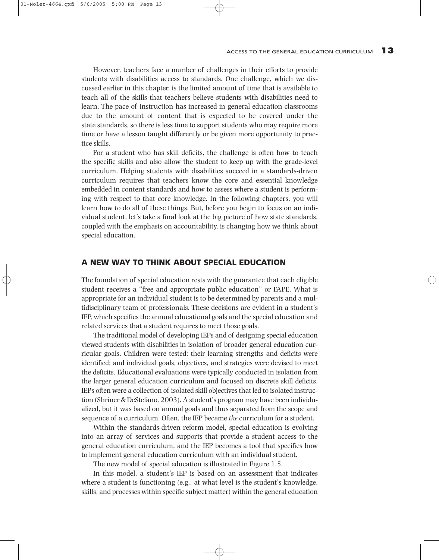However, teachers face a number of challenges in their efforts to provide students with disabilities access to standards. One challenge, which we discussed earlier in this chapter, is the limited amount of time that is available to teach all of the skills that teachers believe students with disabilities need to learn. The pace of instruction has increased in general education classrooms due to the amount of content that is expected to be covered under the state standards, so there is less time to support students who may require more time or have a lesson taught differently or be given more opportunity to practice skills.

For a student who has skill deficits, the challenge is often how to teach the specific skills and also allow the student to keep up with the grade-level curriculum. Helping students with disabilities succeed in a standards-driven curriculum requires that teachers know the core and essential knowledge embedded in content standards and how to assess where a student is performing with respect to that core knowledge. In the following chapters, you will learn how to do all of these things. But, before you begin to focus on an individual student, let's take a final look at the big picture of how state standards, coupled with the emphasis on accountability, is changing how we think about special education.

# **A NEW WAY TO THINK ABOUT SPECIAL EDUCATION**

The foundation of special education rests with the guarantee that each eligible student receives a "free and appropriate public education" or FAPE. What is appropriate for an individual student is to be determined by parents and a multidisciplinary team of professionals. These decisions are evident in a student's IEP, which specifies the annual educational goals and the special education and related services that a student requires to meet those goals.

The traditional model of developing IEPs and of designing special education viewed students with disabilities in isolation of broader general education curricular goals. Children were tested; their learning strengths and deficits were identified; and individual goals, objectives, and strategies were devised to meet the deficits. Educational evaluations were typically conducted in isolation from the larger general education curriculum and focused on discrete skill deficits. IEPs often were a collection of isolated skill objectives that led to isolated instruction (Shriner & DeStefano, 2003). A student's program may have been individualized, but it was based on annual goals and thus separated from the scope and sequence of a curriculum. Often, the IEP became *the* curriculum for a student.

Within the standards-driven reform model, special education is evolving into an array of services and supports that provide a student access to the general education curriculum, and the IEP becomes a tool that specifies how to implement general education curriculum with an individual student.

The new model of special education is illustrated in Figure 1.5.

In this model, a student's IEP is based on an assessment that indicates where a student is functioning (e.g., at what level is the student's knowledge, skills, and processes within specific subject matter) within the general education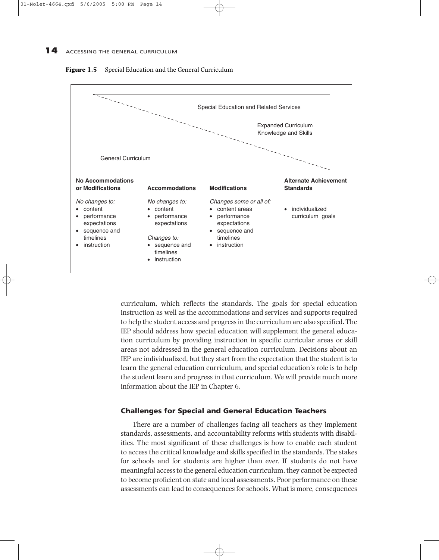



curriculum, which reflects the standards. The goals for special education instruction as well as the accommodations and services and supports required to help the student access and progress in the curriculum are also specified. The IEP should address how special education will supplement the general education curriculum by providing instruction in specific curricular areas or skill areas not addressed in the general education curriculum. Decisions about an IEP are individualized, but they start from the expectation that the student is to learn the general education curriculum, and special education's role is to help the student learn and progress in that curriculum. We will provide much more information about the IEP in Chapter 6.

## **Challenges for Special and General Education Teachers**

There are a number of challenges facing all teachers as they implement standards, assessments, and accountability reforms with students with disabilities. The most significant of these challenges is how to enable each student to access the critical knowledge and skills specified in the standards. The stakes for schools and for students are higher than ever. If students do not have meaningful access to the general education curriculum, they cannot be expected to become proficient on state and local assessments. Poor performance on these assessments can lead to consequences for schools. What is more, consequences